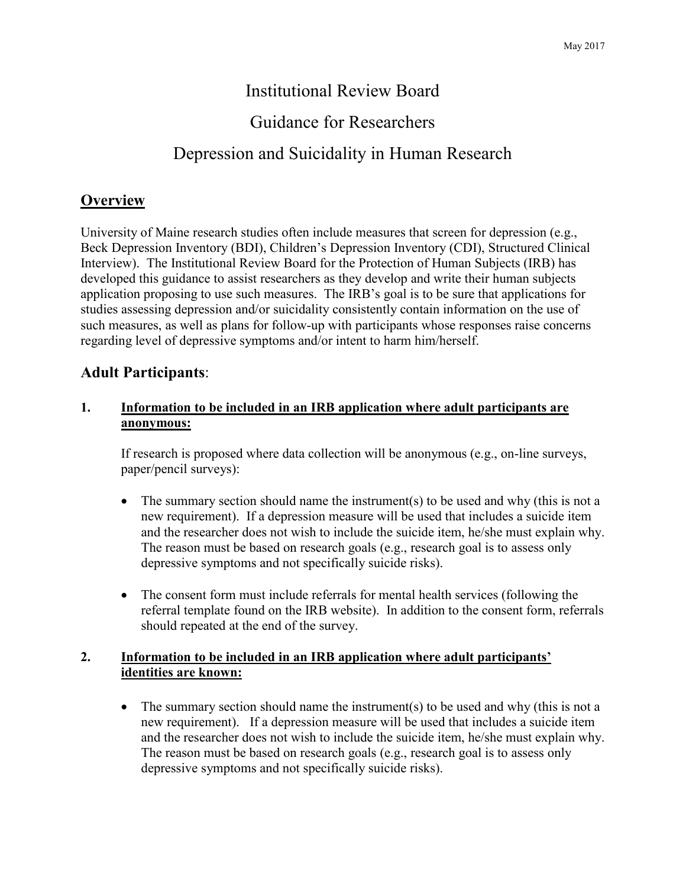# Institutional Review Board

# Guidance for Researchers

# Depression and Suicidality in Human Research

## **Overview**

University of Maine research studies often include measures that screen for depression (e.g., Beck Depression Inventory (BDI), Children's Depression Inventory (CDI), Structured Clinical Interview). The Institutional Review Board for the Protection of Human Subjects (IRB) has developed this guidance to assist researchers as they develop and write their human subjects application proposing to use such measures. The IRB's goal is to be sure that applications for studies assessing depression and/or suicidality consistently contain information on the use of such measures, as well as plans for follow-up with participants whose responses raise concerns regarding level of depressive symptoms and/or intent to harm him/herself.

## **Adult Participants**:

#### **1. Information to be included in an IRB application where adult participants are anonymous:**

If research is proposed where data collection will be anonymous (e.g., on-line surveys, paper/pencil surveys):

- The summary section should name the instrument(s) to be used and why (this is not a new requirement). If a depression measure will be used that includes a suicide item and the researcher does not wish to include the suicide item, he/she must explain why. The reason must be based on research goals (e.g., research goal is to assess only depressive symptoms and not specifically suicide risks).
- The consent form must include referrals for mental health services (following the referral template found on the IRB website). In addition to the consent form, referrals should repeated at the end of the survey.

### **2. Information to be included in an IRB application where adult participants' identities are known:**

• The summary section should name the instrument(s) to be used and why (this is not a new requirement). If a depression measure will be used that includes a suicide item and the researcher does not wish to include the suicide item, he/she must explain why. The reason must be based on research goals (e.g., research goal is to assess only depressive symptoms and not specifically suicide risks).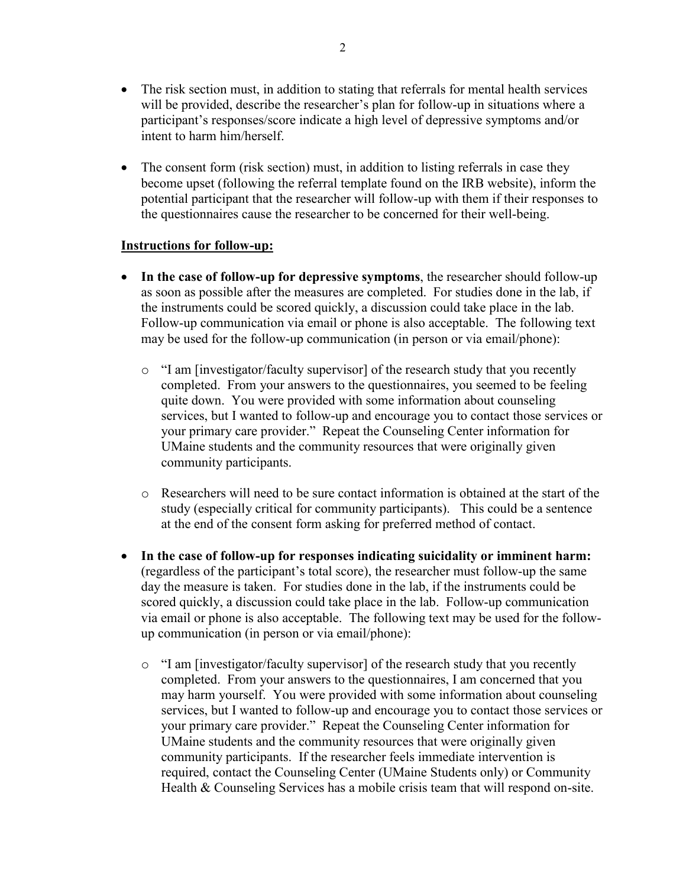- The risk section must, in addition to stating that referrals for mental health services will be provided, describe the researcher's plan for follow-up in situations where a participant's responses/score indicate a high level of depressive symptoms and/or intent to harm him/herself.
- The consent form (risk section) must, in addition to listing referrals in case they become upset (following the referral template found on the IRB website), inform the potential participant that the researcher will follow-up with them if their responses to the questionnaires cause the researcher to be concerned for their well-being.

#### **Instructions for follow-up:**

- **In the case of follow-up for depressive symptoms**, the researcher should follow-up as soon as possible after the measures are completed. For studies done in the lab, if the instruments could be scored quickly, a discussion could take place in the lab. Follow-up communication via email or phone is also acceptable. The following text may be used for the follow-up communication (in person or via email/phone):
	- o "I am [investigator/faculty supervisor] of the research study that you recently completed. From your answers to the questionnaires, you seemed to be feeling quite down. You were provided with some information about counseling services, but I wanted to follow-up and encourage you to contact those services or your primary care provider." Repeat the Counseling Center information for UMaine students and the community resources that were originally given community participants.
	- o Researchers will need to be sure contact information is obtained at the start of the study (especially critical for community participants). This could be a sentence at the end of the consent form asking for preferred method of contact.
- **In the case of follow-up for responses indicating suicidality or imminent harm:** (regardless of the participant's total score), the researcher must follow-up the same day the measure is taken. For studies done in the lab, if the instruments could be scored quickly, a discussion could take place in the lab. Follow-up communication via email or phone is also acceptable. The following text may be used for the followup communication (in person or via email/phone):
	- $\circ$  "I am [investigator/faculty supervisor] of the research study that you recently completed. From your answers to the questionnaires, I am concerned that you may harm yourself. You were provided with some information about counseling services, but I wanted to follow-up and encourage you to contact those services or your primary care provider." Repeat the Counseling Center information for UMaine students and the community resources that were originally given community participants. If the researcher feels immediate intervention is required, contact the Counseling Center (UMaine Students only) or Community Health & Counseling Services has a mobile crisis team that will respond on-site.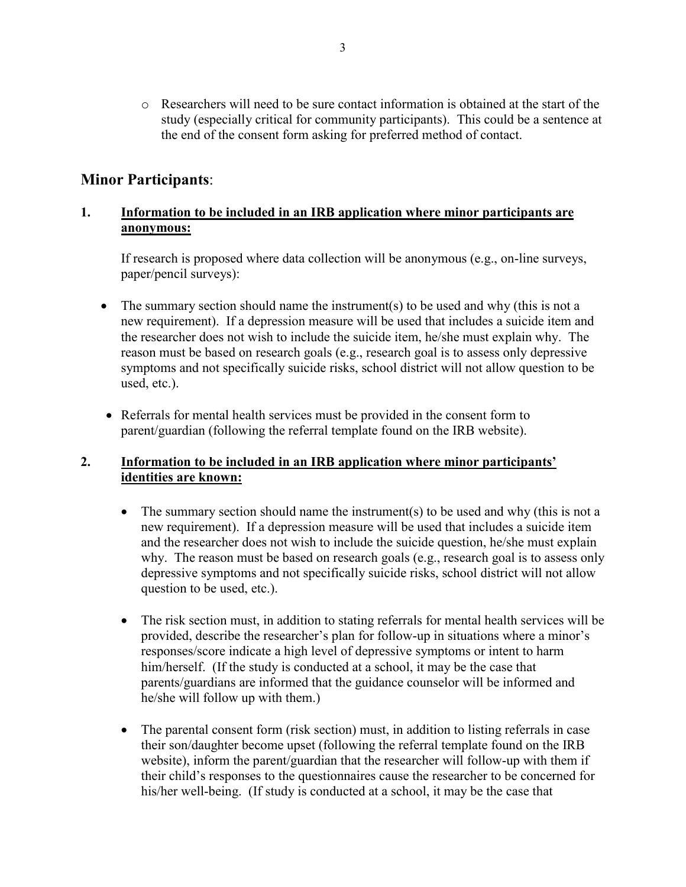o Researchers will need to be sure contact information is obtained at the start of the study (especially critical for community participants). This could be a sentence at the end of the consent form asking for preferred method of contact.

## **Minor Participants**:

### **1. Information to be included in an IRB application where minor participants are anonymous:**

If research is proposed where data collection will be anonymous (e.g., on-line surveys, paper/pencil surveys):

- The summary section should name the instrument(s) to be used and why (this is not a new requirement). If a depression measure will be used that includes a suicide item and the researcher does not wish to include the suicide item, he/she must explain why. The reason must be based on research goals (e.g., research goal is to assess only depressive symptoms and not specifically suicide risks, school district will not allow question to be used, etc.).
- Referrals for mental health services must be provided in the consent form to parent/guardian (following the referral template found on the IRB website).

#### **2. Information to be included in an IRB application where minor participants' identities are known:**

- The summary section should name the instrument(s) to be used and why (this is not a new requirement). If a depression measure will be used that includes a suicide item and the researcher does not wish to include the suicide question, he/she must explain why. The reason must be based on research goals (e.g., research goal is to assess only depressive symptoms and not specifically suicide risks, school district will not allow question to be used, etc.).
- The risk section must, in addition to stating referrals for mental health services will be provided, describe the researcher's plan for follow-up in situations where a minor's responses/score indicate a high level of depressive symptoms or intent to harm him/herself. (If the study is conducted at a school, it may be the case that parents/guardians are informed that the guidance counselor will be informed and he/she will follow up with them.)
- The parental consent form (risk section) must, in addition to listing referrals in case their son/daughter become upset (following the referral template found on the IRB website), inform the parent/guardian that the researcher will follow-up with them if their child's responses to the questionnaires cause the researcher to be concerned for his/her well-being. (If study is conducted at a school, it may be the case that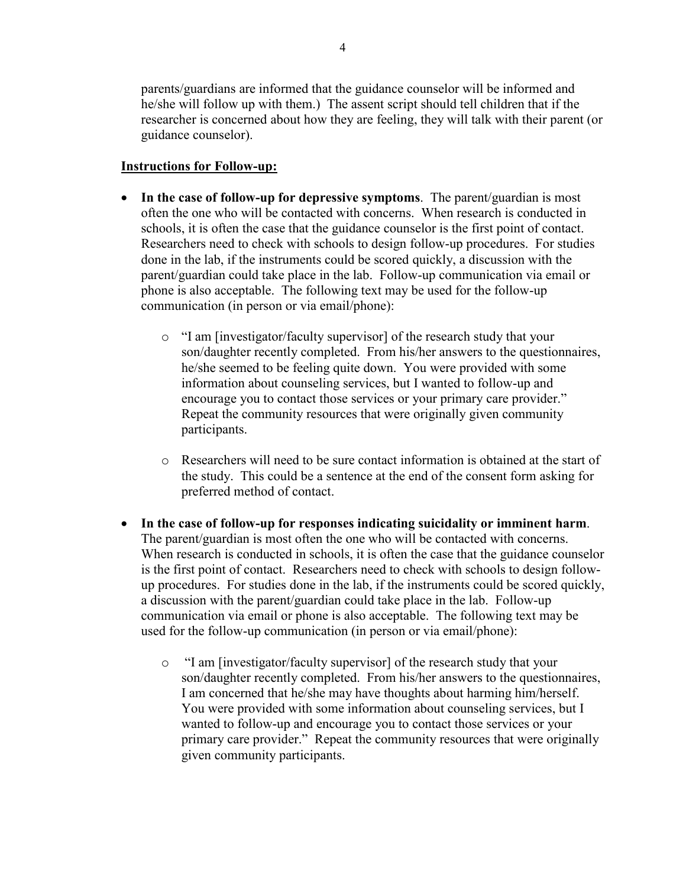parents/guardians are informed that the guidance counselor will be informed and he/she will follow up with them.) The assent script should tell children that if the researcher is concerned about how they are feeling, they will talk with their parent (or guidance counselor).

#### **Instructions for Follow-up:**

- **In the case of follow-up for depressive symptoms**. The parent/guardian is most often the one who will be contacted with concerns. When research is conducted in schools, it is often the case that the guidance counselor is the first point of contact. Researchers need to check with schools to design follow-up procedures. For studies done in the lab, if the instruments could be scored quickly, a discussion with the parent/guardian could take place in the lab. Follow-up communication via email or phone is also acceptable. The following text may be used for the follow-up communication (in person or via email/phone):
	- o "I am [investigator/faculty supervisor] of the research study that your son/daughter recently completed. From his/her answers to the questionnaires, he/she seemed to be feeling quite down. You were provided with some information about counseling services, but I wanted to follow-up and encourage you to contact those services or your primary care provider." Repeat the community resources that were originally given community participants.
	- o Researchers will need to be sure contact information is obtained at the start of the study. This could be a sentence at the end of the consent form asking for preferred method of contact.
- **In the case of follow-up for responses indicating suicidality or imminent harm**. The parent/guardian is most often the one who will be contacted with concerns. When research is conducted in schools, it is often the case that the guidance counselor is the first point of contact. Researchers need to check with schools to design followup procedures. For studies done in the lab, if the instruments could be scored quickly, a discussion with the parent/guardian could take place in the lab. Follow-up communication via email or phone is also acceptable. The following text may be used for the follow-up communication (in person or via email/phone):
	- o "I am [investigator/faculty supervisor] of the research study that your son/daughter recently completed. From his/her answers to the questionnaires, I am concerned that he/she may have thoughts about harming him/herself. You were provided with some information about counseling services, but I wanted to follow-up and encourage you to contact those services or your primary care provider." Repeat the community resources that were originally given community participants.